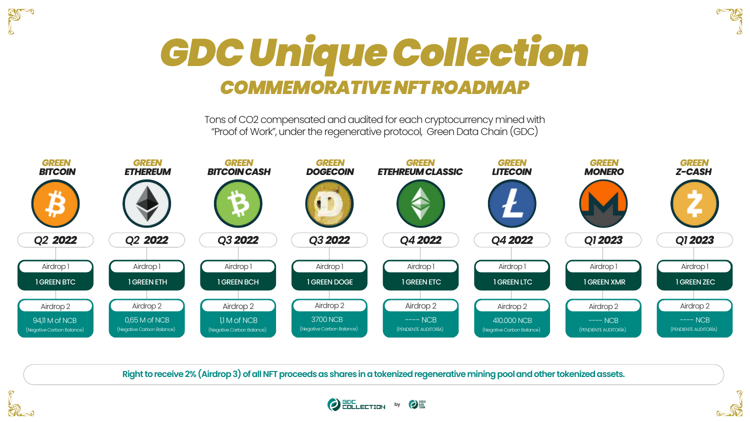





**ANSY** 

Tons of CO2 compensated and audited for each cryptocurrency mined with "Proof of Work", under the regenerative protocol, Green Data Chain (GDC)